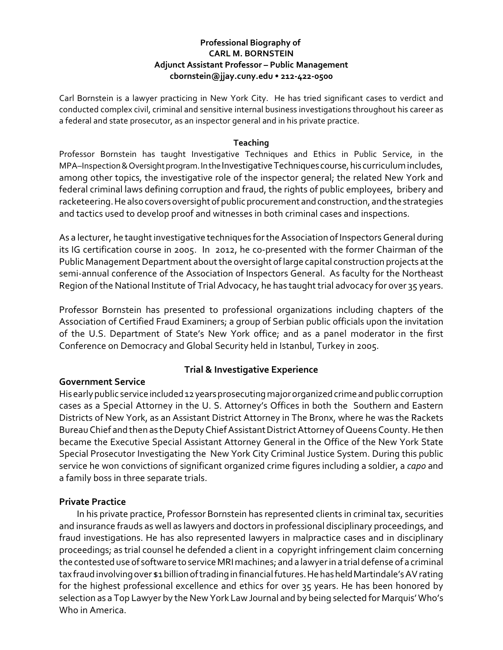### **Professional Biography of CARL M. BORNSTEIN Adjunct Assistant Professor – Public Management cbornstein@jjay.cuny.edu • 212-422-0500**

Carl Bornstein is a lawyer practicing in New York City. He has tried significant cases to verdict and conducted complex civil, criminal and sensitive internal business investigations throughout his career as a federal and state prosecutor, as an inspector general and in his private practice.

#### **Teaching**

Professor Bornstein has taught Investigative Techniques and Ethics in Public Service, in the MPA–Inspection & Oversight program. In the Investigative Techniques course, his curriculum includes, among other topics, the investigative role of the inspector general; the related New York and federal criminal laws defining corruption and fraud, the rights of public employees, bribery and racketeering. He also covers oversight of public procurement and construction, and the strategies and tactics used to develop proof and witnesses in both criminal cases and inspections.

As a lecturer, he taught investigative techniques forthe Association of Inspectors General during its IG certification course in 2005. In 2012, he co-presented with the former Chairman of the Public Management Department about the oversight of large capital construction projects at the semi-annual conference of the Association of Inspectors General. As faculty for the Northeast Region of the National Institute of Trial Advocacy, he has taught trial advocacy for over 35 years.

Professor Bornstein has presented to professional organizations including chapters of the Association of Certified Fraud Examiners; a group of Serbian public officials upon the invitation of the U.S. Department of State's New York office; and as a panel moderator in the first Conference on Democracy and Global Security held in Istanbul, Turkey in 2005.

# **Trial & Investigative Experience**

### **Government Service**

His early public service included 12 years prosecuting major organized crime and public corruption cases as a Special Attorney in the U. S. Attorney's Offices in both the Southern and Eastern Districts of New York, as an Assistant District Attorney in The Bronx, where he was the Rackets Bureau Chief and then as the Deputy Chief Assistant District Attorney of Queens County. He then became the Executive Special Assistant Attorney General in the Office of the New York State Special Prosecutor Investigating the New York City Criminal Justice System. During this public service he won convictions of significant organized crime figures including a soldier, a *capo* and a family boss in three separate trials.

### **Private Practice**

In his private practice, Professor Bornstein has represented clients in criminal tax, securities and insurance frauds as well as lawyers and doctors in professional disciplinary proceedings, and fraud investigations. He has also represented lawyers in malpractice cases and in disciplinary proceedings; as trial counsel he defended a client in a copyright infringement claim concerning the contested use of software to service MRI machines; and a lawyerin a trial defense of a criminal tax fraud involving over \$1 billion of trading in financial futures. He has held Martindale's AV rating for the highest professional excellence and ethics for over 35 years. He has been honored by selection as a Top Lawyer by the New York Law Journal and by being selected for Marquis' Who's Who in America.